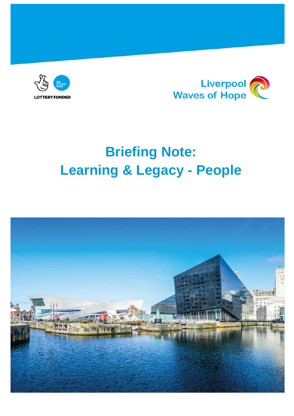



# **Briefing Note: Learning & Legacy - People**

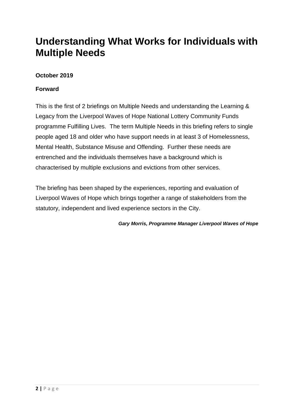# **Understanding What Works for Individuals with Multiple Needs**

# **October 2019**

#### **Forward**

This is the first of 2 briefings on Multiple Needs and understanding the Learning & Legacy from the Liverpool Waves of Hope National Lottery Community Funds programme Fulfilling Lives. The term Multiple Needs in this briefing refers to single people aged 18 and older who have support needs in at least 3 of Homelessness, Mental Health, Substance Misuse and Offending. Further these needs are entrenched and the individuals themselves have a background which is characterised by multiple exclusions and evictions from other services.

The briefing has been shaped by the experiences, reporting and evaluation of Liverpool Waves of Hope which brings together a range of stakeholders from the statutory, independent and lived experience sectors in the City.

*Gary Morris, Programme Manager Liverpool Waves of Hope*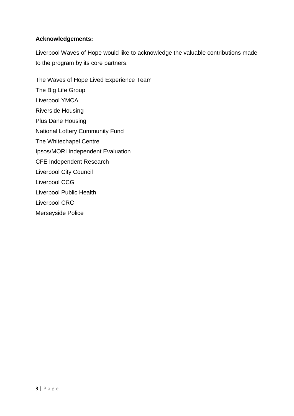# **Acknowledgements:**

Liverpool Waves of Hope would like to acknowledge the valuable contributions made to the program by its core partners.

The Waves of Hope Lived Experience Team The Big Life Group Liverpool YMCA Riverside Housing Plus Dane Housing National Lottery Community Fund The Whitechapel Centre Ipsos/MORI Independent Evaluation CFE Independent Research Liverpool City Council Liverpool CCG Liverpool Public Health Liverpool CRC Merseyside Police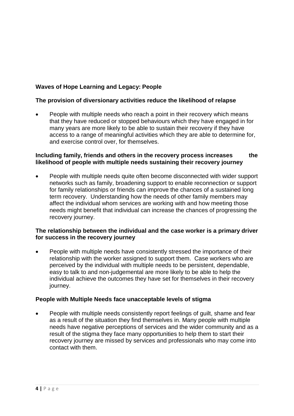## **Waves of Hope Learning and Legacy: People**

#### **The provision of diversionary activities reduce the likelihood of relapse**

 People with multiple needs who reach a point in their recovery which means that they have reduced or stopped behaviours which they have engaged in for many years are more likely to be able to sustain their recovery if they have access to a range of meaningful activities which they are able to determine for, and exercise control over, for themselves.

#### **Including family, friends and others in the recovery process increases the likelihood of people with multiple needs sustaining their recovery journey**

 People with multiple needs quite often become disconnected with wider support networks such as family, broadening support to enable reconnection or support for family relationships or friends can improve the chances of a sustained long term recovery. Understanding how the needs of other family members may affect the individual whom services are working with and how meeting those needs might benefit that individual can increase the chances of progressing the recovery journey.

#### **The relationship between the individual and the case worker is a primary driver for success in the recovery journey**

 People with multiple needs have consistently stressed the importance of their relationship with the worker assigned to support them. Case workers who are perceived by the individual with multiple needs to be persistent, dependable, easy to talk to and non-judgemental are more likely to be able to help the individual achieve the outcomes they have set for themselves in their recovery journey.

#### **People with Multiple Needs face unacceptable levels of stigma**

 People with multiple needs consistently report feelings of guilt, shame and fear as a result of the situation they find themselves in. Many people with multiple needs have negative perceptions of services and the wider community and as a result of the stigma they face many opportunities to help them to start their recovery journey are missed by services and professionals who may come into contact with them.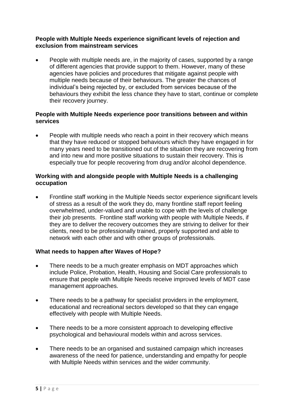#### **People with Multiple Needs experience significant levels of rejection and exclusion from mainstream services**

• People with multiple needs are, in the majority of cases, supported by a range of different agencies that provide support to them. However, many of these agencies have policies and procedures that mitigate against people with multiple needs because of their behaviours. The greater the chances of individual's being rejected by, or excluded from services because of the behaviours they exhibit the less chance they have to start, continue or complete their recovery journey.

#### **People with Multiple Needs experience poor transitions between and within services**

 People with multiple needs who reach a point in their recovery which means that they have reduced or stopped behaviours which they have engaged in for many years need to be transitioned out of the situation they are recovering from and into new and more positive situations to sustain their recovery. This is especially true for people recovering from drug and/or alcohol dependence.

#### **Working with and alongside people with Multiple Needs is a challenging occupation**

• Frontline staff working in the Multiple Needs sector experience significant levels of stress as a result of the work they do, many frontline staff report feeling overwhelmed, under-valued and unable to cope with the levels of challenge their job presents. Frontline staff working with people with Multiple Needs, if they are to deliver the recovery outcomes they are striving to deliver for their clients, need to be professionally trained, properly supported and able to network with each other and with other groups of professionals.

### **What needs to happen after Waves of Hope?**

- There needs to be a much greater emphasis on MDT approaches which include Police, Probation, Health, Housing and Social Care professionals to ensure that people with Multiple Needs receive improved levels of MDT case management approaches.
- There needs to be a pathway for specialist providers in the employment, educational and recreational sectors developed so that they can engage effectively with people with Multiple Needs.
- There needs to be a more consistent approach to developing effective psychological and behavioural models within and across services.
- There needs to be an organised and sustained campaign which increases awareness of the need for patience, understanding and empathy for people with Multiple Needs within services and the wider community.